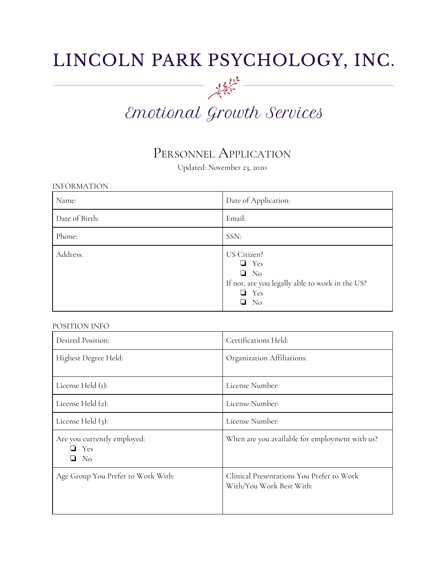## LINCOLN PARK PSYCHOLOGY, INC.

# 一次作 Emotional Growth Services

### PERSONNEL APPLICATION

Updated: November 23, 2020

| <b>INFORMATION</b> |                                                                                                                      |  |
|--------------------|----------------------------------------------------------------------------------------------------------------------|--|
| Name:              | Date of Application:                                                                                                 |  |
| Date of Birth:     | Email:                                                                                                               |  |
| Phone:             | SSN:                                                                                                                 |  |
| Address:           | US Citizen?<br>$\Box$ Yes<br>$\Box$ No<br>If not, are you legally able to work in the US?<br>$\Box$ Yes<br>$\Box$ No |  |

#### POSITION INFO

| Desired Position:                          | Certifications Held:                                                  |
|--------------------------------------------|-----------------------------------------------------------------------|
| Highest Degree Held:                       | Organization Affiliations:                                            |
| License Held $(r)$ :                       | License Number:                                                       |
| License Held (2):                          | License Number:                                                       |
| License Held $(3)$ :                       | License Number:                                                       |
| Are you currently employed:<br>Yes<br>- No | When are you available for employment with us?                        |
| Age Group You Prefer to Work With:         | Clinical Presentations You Prefer to Work<br>With/You Work Best With: |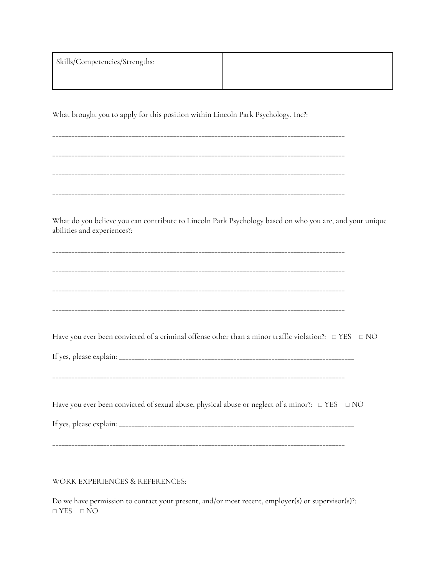| Skills/Competencies/Strengths: |  |
|--------------------------------|--|
|                                |  |

What brought you to apply for this position within Lincoln Park Psychology, Inc?:

\_\_\_\_\_\_\_\_\_\_\_\_\_\_\_\_\_\_\_\_\_\_\_\_\_\_\_\_\_\_\_\_\_\_\_\_\_\_\_\_\_\_\_\_\_\_\_\_\_\_\_\_\_\_\_\_\_\_\_\_\_\_\_\_\_\_\_\_\_\_\_\_\_\_\_\_\_\_\_\_\_\_\_\_\_\_\_\_\_\_\_\_ \_\_\_\_\_\_\_\_\_\_\_\_\_\_\_\_\_\_\_\_\_\_\_\_\_\_\_\_\_\_\_\_\_\_\_\_\_\_\_\_\_\_\_\_\_\_\_\_\_\_\_\_\_\_\_\_\_\_\_\_\_\_\_\_\_\_\_\_\_\_\_\_\_\_\_\_\_\_\_\_\_\_\_\_\_\_\_\_\_\_\_\_ \_\_\_\_\_\_\_\_\_\_\_\_\_\_\_\_\_\_\_\_\_\_\_\_\_\_\_\_\_\_\_\_\_\_\_\_\_\_\_\_\_\_\_\_\_\_\_\_\_\_\_\_\_\_\_\_\_\_\_\_\_\_\_\_\_\_\_\_\_\_\_\_\_\_\_\_\_\_\_\_\_\_\_\_\_\_\_\_\_\_\_\_

\_\_\_\_\_\_\_\_\_\_\_\_\_\_\_\_\_\_\_\_\_\_\_\_\_\_\_\_\_\_\_\_\_\_\_\_\_\_\_\_\_\_\_\_\_\_\_\_\_\_\_\_\_\_\_\_\_\_\_\_\_\_\_\_\_\_\_\_\_\_\_\_\_\_\_\_\_\_\_\_\_\_\_\_\_\_\_\_\_\_\_\_

What do you believe you can contribute to Lincoln Park Psychology based on who you are, and your unique abilities and experiences?:

\_\_\_\_\_\_\_\_\_\_\_\_\_\_\_\_\_\_\_\_\_\_\_\_\_\_\_\_\_\_\_\_\_\_\_\_\_\_\_\_\_\_\_\_\_\_\_\_\_\_\_\_\_\_\_\_\_\_\_\_\_\_\_\_\_\_\_\_\_\_\_\_\_\_\_\_\_\_\_\_\_\_\_\_\_\_\_\_\_\_\_\_ \_\_\_\_\_\_\_\_\_\_\_\_\_\_\_\_\_\_\_\_\_\_\_\_\_\_\_\_\_\_\_\_\_\_\_\_\_\_\_\_\_\_\_\_\_\_\_\_\_\_\_\_\_\_\_\_\_\_\_\_\_\_\_\_\_\_\_\_\_\_\_\_\_\_\_\_\_\_\_\_\_\_\_\_\_\_\_\_\_\_\_\_ \_\_\_\_\_\_\_\_\_\_\_\_\_\_\_\_\_\_\_\_\_\_\_\_\_\_\_\_\_\_\_\_\_\_\_\_\_\_\_\_\_\_\_\_\_\_\_\_\_\_\_\_\_\_\_\_\_\_\_\_\_\_\_\_\_\_\_\_\_\_\_\_\_\_\_\_\_\_\_\_\_\_\_\_\_\_\_\_\_\_\_\_ \_\_\_\_\_\_\_\_\_\_\_\_\_\_\_\_\_\_\_\_\_\_\_\_\_\_\_\_\_\_\_\_\_\_\_\_\_\_\_\_\_\_\_\_\_\_\_\_\_\_\_\_\_\_\_\_\_\_\_\_\_\_\_\_\_\_\_\_\_\_\_\_\_\_\_\_\_\_\_\_\_\_\_\_\_\_\_\_\_\_\_\_

Have you ever been convicted of a criminal offense other than a minor traffic violation?: □ YES □ NO

If yes, please explain: \_\_\_\_\_\_\_\_\_\_\_\_\_\_\_\_\_\_\_\_\_\_\_\_\_\_\_\_\_\_\_\_\_\_\_\_\_\_\_\_\_\_\_\_\_\_\_\_\_\_\_\_\_\_\_\_\_\_\_\_\_\_\_\_\_\_\_\_\_\_\_\_\_\_

\_\_\_\_\_\_\_\_\_\_\_\_\_\_\_\_\_\_\_\_\_\_\_\_\_\_\_\_\_\_\_\_\_\_\_\_\_\_\_\_\_\_\_\_\_\_\_\_\_\_\_\_\_\_\_\_\_\_\_\_\_\_\_\_\_\_\_\_\_\_\_\_\_\_\_\_\_\_\_\_\_\_\_\_\_\_\_\_\_\_\_\_

Have you ever been convicted of sexual abuse, physical abuse or neglect of a minor?:  $\Box$  YES  $\Box$  NO

If yes, please explain: \_\_\_\_\_\_\_\_\_\_\_\_\_\_\_\_\_\_\_\_\_\_\_\_\_\_\_\_\_\_\_\_\_\_\_\_\_\_\_\_\_\_\_\_\_\_\_\_\_\_\_\_\_\_\_\_\_\_\_\_\_\_\_\_\_\_\_\_\_\_\_\_\_\_

\_\_\_\_\_\_\_\_\_\_\_\_\_\_\_\_\_\_\_\_\_\_\_\_\_\_\_\_\_\_\_\_\_\_\_\_\_\_\_\_\_\_\_\_\_\_\_\_\_\_\_\_\_\_\_\_\_\_\_\_\_\_\_\_\_\_\_\_\_\_\_\_\_\_\_\_\_\_\_\_\_\_\_\_\_\_\_\_\_\_\_\_

WORK EXPERIENCES & REFERENCES:

Do we have permission to contact your present, and/or most recent, employer(s) or supervisor(s)?: ◻ YES ◻ NO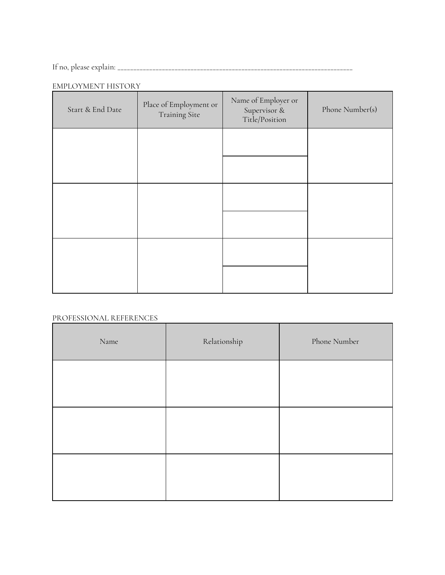If no, please explain: \_\_\_\_\_\_\_\_\_\_\_\_\_\_\_\_\_\_\_\_\_\_\_\_\_\_\_\_\_\_\_\_\_\_\_\_\_\_\_\_\_\_\_\_\_\_\_\_\_\_\_\_\_\_\_\_\_\_\_\_\_\_\_\_\_\_\_\_\_\_\_\_\_\_

#### EMPLOYMENT HISTORY

| Start & End Date | Place of Employment or<br>Training Site | Name of Employer or<br>Supervisor &<br>Title/Position | Phone Number(s) |
|------------------|-----------------------------------------|-------------------------------------------------------|-----------------|
|                  |                                         |                                                       |                 |
|                  |                                         |                                                       |                 |
|                  |                                         |                                                       |                 |
|                  |                                         |                                                       |                 |
|                  |                                         |                                                       |                 |
|                  |                                         |                                                       |                 |

#### PROFESSIONAL REFERENCES

| Name | Relationship | Phone Number |
|------|--------------|--------------|
|      |              |              |
|      |              |              |
|      |              |              |
|      |              |              |